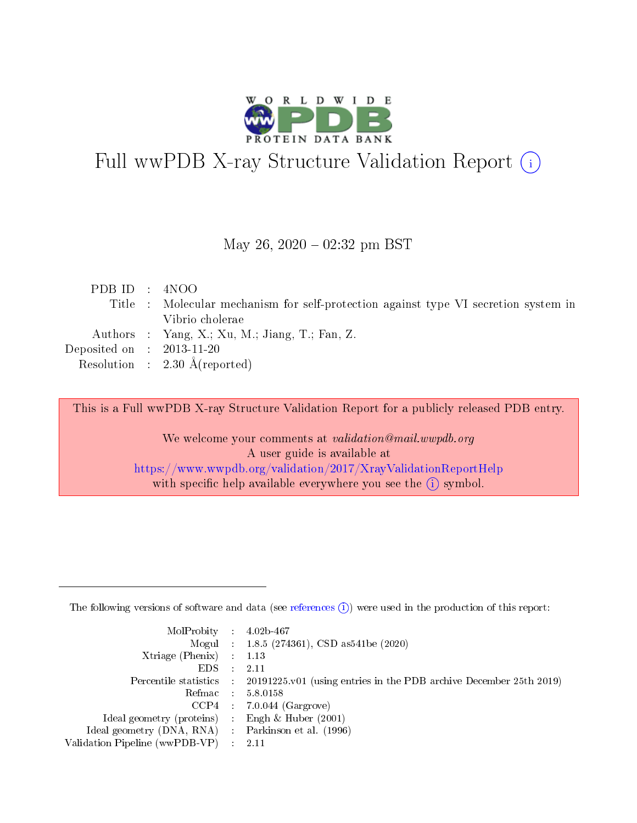

# Full wwPDB X-ray Structure Validation Report (i)

#### May 26,  $2020 - 02:32$  pm BST

|  | PDB ID : 4NOO                                                                       |
|--|-------------------------------------------------------------------------------------|
|  | Title : Molecular mechanism for self-protection against type VI secretion system in |
|  | Vibrio cholerae                                                                     |
|  | Authors : Yang, X.; Xu, M.; Jiang, T.; Fan, Z.                                      |
|  | Deposited on $\therefore$ 2013-11-20                                                |
|  | Resolution : $2.30 \text{ Å}$ (reported)                                            |

This is a Full wwPDB X-ray Structure Validation Report for a publicly released PDB entry.

We welcome your comments at validation@mail.wwpdb.org A user guide is available at <https://www.wwpdb.org/validation/2017/XrayValidationReportHelp> with specific help available everywhere you see the  $(i)$  symbol.

The following versions of software and data (see [references](https://www.wwpdb.org/validation/2017/XrayValidationReportHelp#references)  $(1)$ ) were used in the production of this report:

| $MolProbability$ 4.02b-467                          |               |                                                                                            |
|-----------------------------------------------------|---------------|--------------------------------------------------------------------------------------------|
|                                                     |               | Mogul : 1.8.5 (274361), CSD as 541be (2020)                                                |
| Xtriage (Phenix) $: 1.13$                           |               |                                                                                            |
| EDS.                                                | $\mathcal{L}$ | -2.11                                                                                      |
|                                                     |               | Percentile statistics : 20191225.v01 (using entries in the PDB archive December 25th 2019) |
|                                                     |               | Refmac $5.8.0158$                                                                          |
| CCP4                                                |               | $7.0.044$ (Gargrove)                                                                       |
| Ideal geometry (proteins)                           | $\sim$        | Engh $\&$ Huber (2001)                                                                     |
| Ideal geometry (DNA, RNA) : Parkinson et al. (1996) |               |                                                                                            |
| Validation Pipeline (wwPDB-VP) : 2.11               |               |                                                                                            |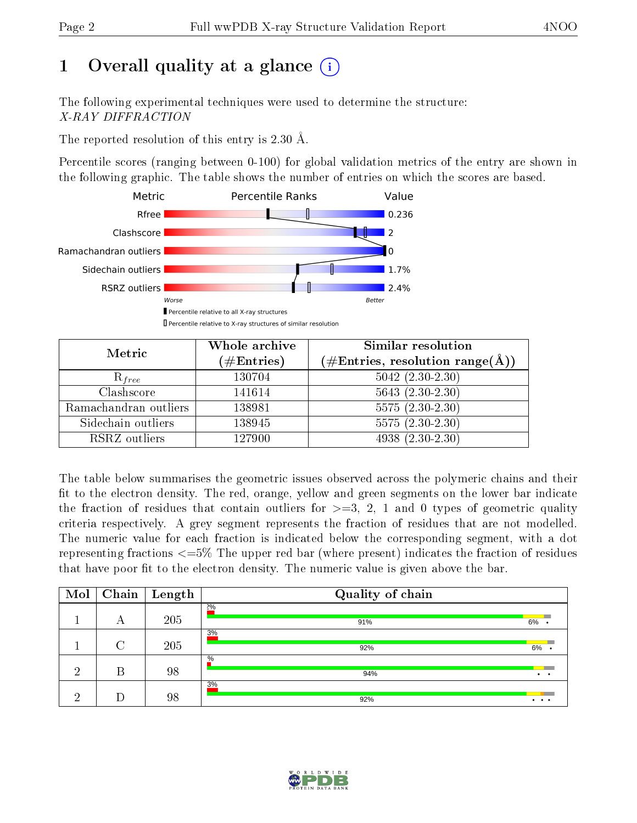# 1 [O](https://www.wwpdb.org/validation/2017/XrayValidationReportHelp#overall_quality)verall quality at a glance  $(i)$

The following experimental techniques were used to determine the structure: X-RAY DIFFRACTION

The reported resolution of this entry is 2.30 Å.

Percentile scores (ranging between 0-100) for global validation metrics of the entry are shown in the following graphic. The table shows the number of entries on which the scores are based.



| Metric                | Whole archive<br>$(\#\text{Entries})$ | Similar resolution<br>$(\#\text{Entries}, \text{resolution range}(\text{\AA}))$ |
|-----------------------|---------------------------------------|---------------------------------------------------------------------------------|
| $R_{free}$            | 130704                                | $5042 (2.30 - 2.30)$                                                            |
| Clashscore            | 141614                                | $5643(2.30-2.30)$                                                               |
| Ramachandran outliers | 138981                                | $5575(2.30-2.30)$                                                               |
| Sidechain outliers    | 138945                                | $5575(2.30-2.30)$                                                               |
| RSRZ outliers         | 127900                                | $4938(2.30-2.30)$                                                               |

The table below summarises the geometric issues observed across the polymeric chains and their fit to the electron density. The red, orange, yellow and green segments on the lower bar indicate the fraction of residues that contain outliers for  $>=3, 2, 1$  and 0 types of geometric quality criteria respectively. A grey segment represents the fraction of residues that are not modelled. The numeric value for each fraction is indicated below the corresponding segment, with a dot representing fractions  $\epsilon=5\%$  The upper red bar (where present) indicates the fraction of residues that have poor fit to the electron density. The numeric value is given above the bar.

| Mol |   | $\boxed{\text{Chain}}$ Length | Quality of chain |                 |
|-----|---|-------------------------------|------------------|-----------------|
|     | А | 205                           | 2%<br>91%        | $6\%$ .         |
|     | ∩ | 205                           | 3%<br>92%        | 6%              |
| ച   | В | 98                            | $\%$<br>94%      | $\cdot$ $\cdot$ |
| ച   |   | 98                            | 3%<br>92%        | $\cdots$        |

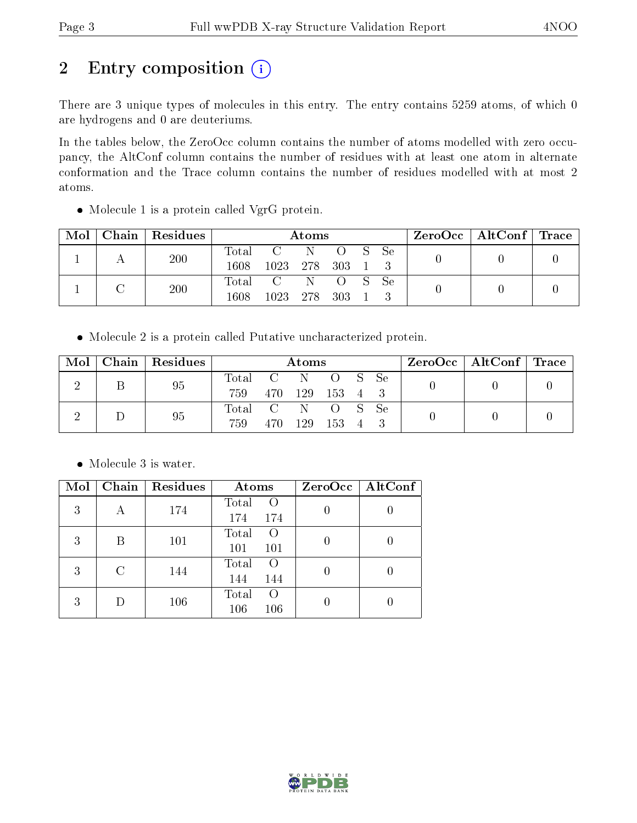# 2 Entry composition (i)

There are 3 unique types of molecules in this entry. The entry contains 5259 atoms, of which 0 are hydrogens and 0 are deuteriums.

In the tables below, the ZeroOcc column contains the number of atoms modelled with zero occupancy, the AltConf column contains the number of residues with at least one atom in alternate conformation and the Trace column contains the number of residues modelled with at most 2 atoms.

Molecule 1 is a protein called VgrG protein.

| Mol | Chain   Residues | Atoms                    |                                      |  |            | $\text{ZeroOcc}$   AltConf   Trace |  |  |
|-----|------------------|--------------------------|--------------------------------------|--|------------|------------------------------------|--|--|
|     | 200              | $\mathrm{Total}$<br>1608 | 1023 278 303 1 3                     |  | C N O S Se |                                    |  |  |
|     | 200              | 1608                     | Total C N O S Se<br>1023 278 303 1 3 |  |            |                                    |  |  |

Molecule 2 is a protein called Putative uncharacterized protein.

|  | $Mol$   Chain   Residues | Atoms                   |        |  |                                        | $ZeroOcc \mid AltConf \mid$ | $\mid$ Trace |  |
|--|--------------------------|-------------------------|--------|--|----------------------------------------|-----------------------------|--------------|--|
|  | 95                       | Total C N<br>759        |        |  | <sup>1</sup> O S Se<br>470 129 153 4 3 |                             |              |  |
|  | 95                       | Total C N O S Se<br>759 | -470 - |  | 129 153 4                              |                             |              |  |

• Molecule 3 is water.

| Mol |   | Chain   Residues | Atoms                                     | ZeroOcc   AltConf |
|-----|---|------------------|-------------------------------------------|-------------------|
| 3   | А | 174              | Total<br>$\left($ $\right)$<br>174<br>174 |                   |
| 3   | В | 101              | Total<br>$\left($<br>101<br>101           |                   |
| 3   | C | 144              | Total<br>$\left($<br>144<br>144           |                   |
| 3   |   | 106              | Total<br>$\left($<br>106<br>106           |                   |

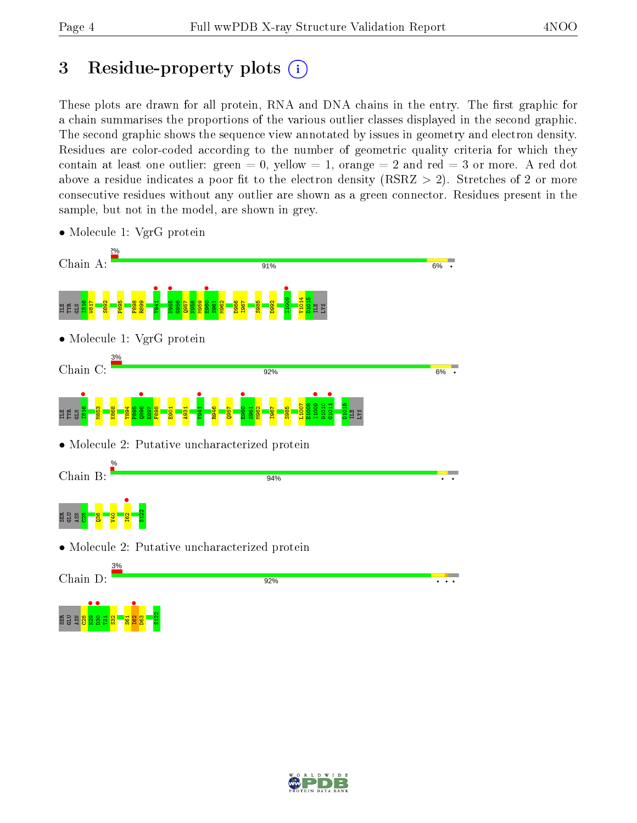# 3 Residue-property plots  $(i)$

These plots are drawn for all protein, RNA and DNA chains in the entry. The first graphic for a chain summarises the proportions of the various outlier classes displayed in the second graphic. The second graphic shows the sequence view annotated by issues in geometry and electron density. Residues are color-coded according to the number of geometric quality criteria for which they contain at least one outlier: green  $= 0$ , yellow  $= 1$ , orange  $= 2$  and red  $= 3$  or more. A red dot above a residue indicates a poor fit to the electron density (RSRZ  $> 2$ ). Stretches of 2 or more consecutive residues without any outlier are shown as a green connector. Residues present in the sample, but not in the model, are shown in grey.



• Molecule 1: VgrG protein

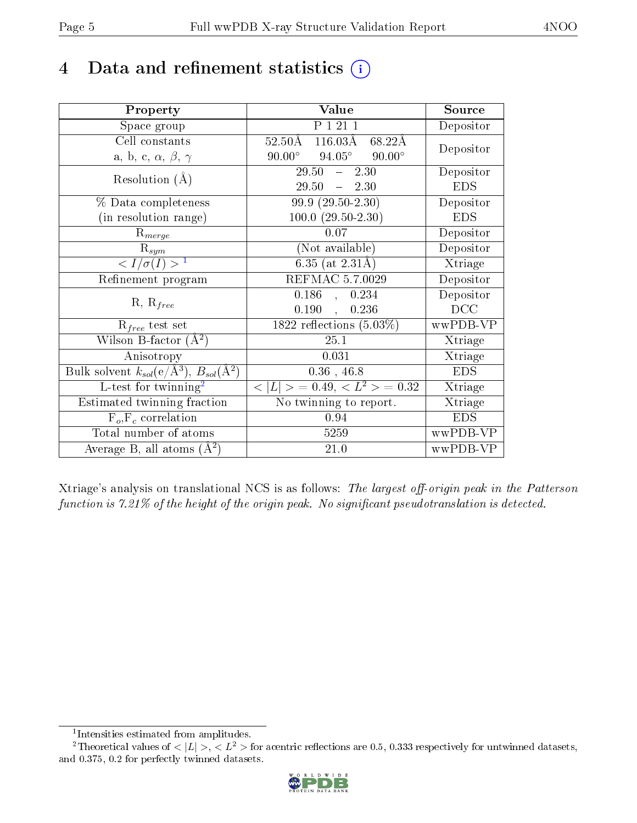# 4 Data and refinement statistics  $(i)$

| Property                                                             | Value                                              | Source     |
|----------------------------------------------------------------------|----------------------------------------------------|------------|
| Space group                                                          | P 1 21 1                                           | Depositor  |
| Cell constants                                                       | $116.03\text{\AA}$<br>$52.50\text{\AA}$<br>68.22Å  | Depositor  |
| a, b, c, $\alpha$ , $\beta$ , $\gamma$                               | $94.05^{\circ}$ $90.00^{\circ}$<br>$90.00^{\circ}$ |            |
| Resolution $(A)$                                                     | 29.50<br>2.30<br>$\frac{1}{2}$                     | Depositor  |
|                                                                      | 29.50<br>$-2.30$                                   | <b>EDS</b> |
| $\%$ Data completeness                                               | $\overline{99.9(29.50-2.30)}$                      | Depositor  |
| (in resolution range)                                                | $100.0 (29.50 - 2.30)$                             | <b>EDS</b> |
| $R_{merge}$                                                          | 0.07                                               | Depositor  |
| $\mathrm{R}_{sym}$                                                   | (Not available)                                    | Depositor  |
| $\langle I/\sigma(I) \rangle^{-1}$                                   | $6.35$ (at 2.31Å)                                  | Xtriage    |
| Refinement program                                                   | <b>REFMAC 5.7.0029</b>                             | Depositor  |
|                                                                      | $\overline{0.186}$ ,<br>0.234                      | Depositor  |
| $R, R_{free}$                                                        | 0.190<br>0.236<br>$\overline{\phantom{a}}$         | DCC        |
| $R_{free}$ test set                                                  | 1822 reflections $(5.03\%)$                        | wwPDB-VP   |
| Wilson B-factor $(A^2)$                                              | 25.1                                               | Xtriage    |
| Anisotropy                                                           | 0.031                                              | Xtriage    |
| Bulk solvent $k_{sol}(e/\mathring{A}^3)$ , $B_{sol}(\mathring{A}^2)$ | $0.36$ , 46.8                                      | <b>EDS</b> |
| L-test for $\overline{\text{twinning}}^2$                            | $< L >$ = 0.49, $< L^2 >$ = 0.32                   | Xtriage    |
| Estimated twinning fraction                                          | No twinning to report.                             | Xtriage    |
| $\overline{F_o}, \overline{F_c}$ correlation                         | 0.94                                               | <b>EDS</b> |
| Total number of atoms                                                | 5259                                               | wwPDB-VP   |
| Average B, all atoms $(A^2)$                                         | 21.0                                               | wwPDB-VP   |

Xtriage's analysis on translational NCS is as follows: The largest off-origin peak in the Patterson function is  $7.21\%$  of the height of the origin peak. No significant pseudotranslation is detected.

<sup>&</sup>lt;sup>2</sup>Theoretical values of  $\langle |L| \rangle$ ,  $\langle L^2 \rangle$  for acentric reflections are 0.5, 0.333 respectively for untwinned datasets, and 0.375, 0.2 for perfectly twinned datasets.



<span id="page-4-1"></span><span id="page-4-0"></span><sup>1</sup> Intensities estimated from amplitudes.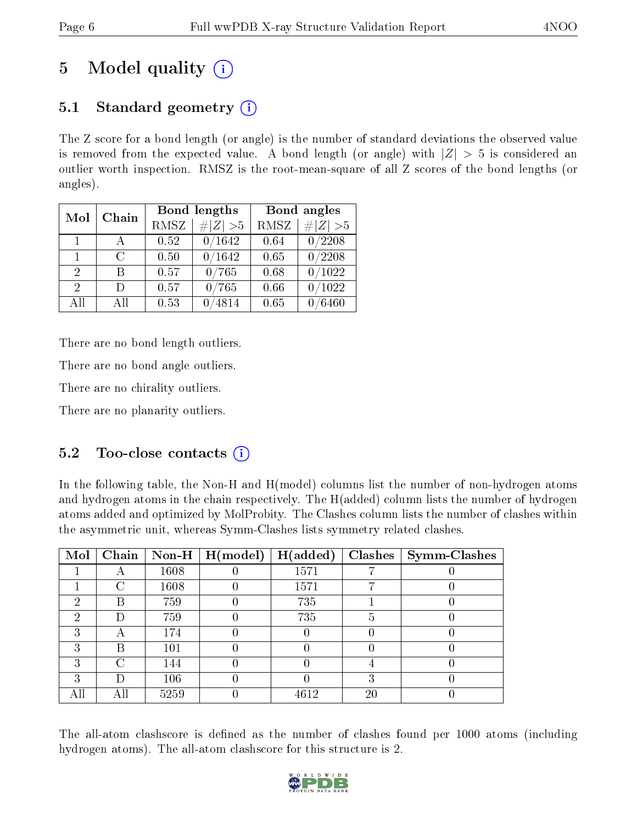# 5 Model quality  $(i)$

# 5.1 Standard geometry  $(i)$

The Z score for a bond length (or angle) is the number of standard deviations the observed value is removed from the expected value. A bond length (or angle) with  $|Z| > 5$  is considered an outlier worth inspection. RMSZ is the root-mean-square of all Z scores of the bond lengths (or angles).

| Mol                         | Chain                       |             | Bond lengths | Bond angles |            |  |
|-----------------------------|-----------------------------|-------------|--------------|-------------|------------|--|
|                             |                             | <b>RMSZ</b> | $\# Z  > 5$  | RMSZ        | # $ Z >5$  |  |
| $\mathbf{1}$                | $\mathbf{A}$                | 0.52        | 0/1642       | 0.64        | 0/2208     |  |
| 1                           | $\mathcal{C}_{\mathcal{C}}$ | 0.50        | 0/1642       | 0.65        | 0/2208     |  |
| $\mathfrak{D}$              | R                           | 0.57        | 0/765        | 0.68        | 0/1022     |  |
| $\mathcal{D}_{\mathcal{L}}$ | D                           | 0.57        | 0/765        | 0.66        | /1022      |  |
| All                         | Αll                         | 0.53        | 4814         | 0.65        | $\,6460\,$ |  |

There are no bond length outliers.

There are no bond angle outliers.

There are no chirality outliers.

There are no planarity outliers.

## 5.2 Too-close contacts  $\overline{()}$

In the following table, the Non-H and H(model) columns list the number of non-hydrogen atoms and hydrogen atoms in the chain respectively. The H(added) column lists the number of hydrogen atoms added and optimized by MolProbity. The Clashes column lists the number of clashes within the asymmetric unit, whereas Symm-Clashes lists symmetry related clashes.

| Mol | Chain  |      | $\mid$ Non-H $\mid$ H(model) | H(added) |    | $Clashes$   Symm-Clashes |
|-----|--------|------|------------------------------|----------|----|--------------------------|
|     |        | 1608 |                              | 1571     |    |                          |
|     |        | 1608 |                              | 1571     |    |                          |
| 2   | В      | 759  |                              | 735      |    |                          |
| 2   | Ð      | 759  |                              | 735      |    |                          |
| 3   | А      | 174  |                              |          |    |                          |
| 3   | В      | 101  |                              |          |    |                          |
| 3   | $\cap$ | 144  |                              |          |    |                          |
| ച   | Ð      | 106  |                              |          |    |                          |
|     | All    | 5259 |                              | 4612     | 20 |                          |

The all-atom clashscore is defined as the number of clashes found per 1000 atoms (including hydrogen atoms). The all-atom clashscore for this structure is 2.

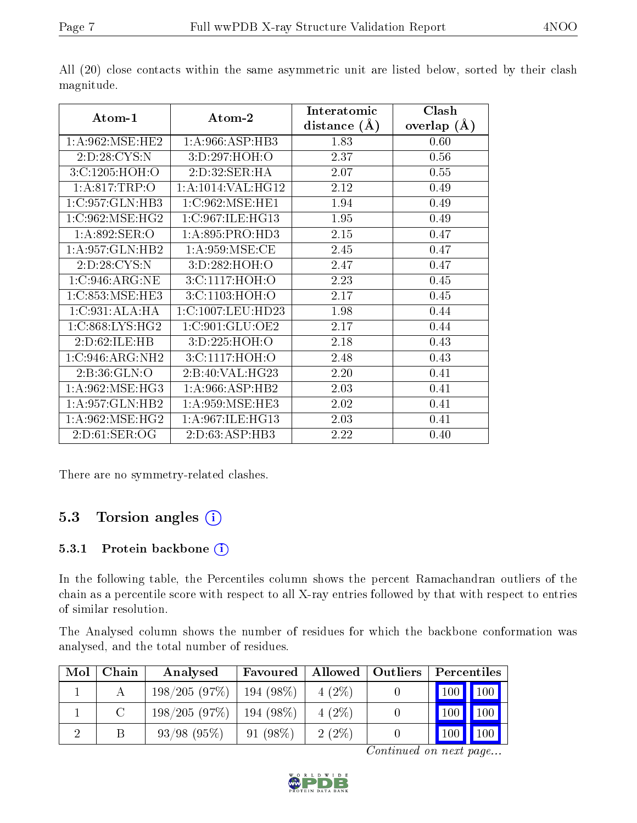|                    |                   | Interatomic    | Clash         |  |
|--------------------|-------------------|----------------|---------------|--|
| Atom-1             | Atom-2            | distance $(A)$ | overlap $(A)$ |  |
| 1: A:962:MSE:HE2   | 1: A:966: ASP:HB3 | 1.83           | 0.60          |  |
| 2:D:28:CYS:N       | 3:D:297:HOH:O     | 2.37           | 0.56          |  |
| 3:C:1205:HOH:O     | 2: D: 32: SER: HA | 2.07           | 0.55          |  |
| 1: A:817:TRP:O     | 1:A:1014:VAL:HG12 | 2.12           | 0.49          |  |
| 1:C:957:GLN:HB3    | 1:C:962:MSE:HE1   | 1.94           | 0.49          |  |
| 1:C:962:MSE:HG2    | 1:C:967:ILE:HG13  | 1.95           | 0.49          |  |
| 1:A:892:SER:O      | 1: A:895: PRO:HD3 | 2.15           | 0.47          |  |
| 1: A:957: GLN: HB2 | 1: A:959: MSE:CE  | 2.45           | 0.47          |  |
| 2:D:28:CYS:N       | 3:D:282:HOH:O     | 2.47           | 0.47          |  |
| 1:C:946:ARG:NE     | 3:C:1117:HOH:O    | 2.23           | 0.45          |  |
| 1:C:853:MSE:HE3    | 3:C:1103:HOH:O    | 2.17           | 0.45          |  |
| 1:C:931:ALA:HA     | 1:C:1007:LEU:HD23 | 1.98           | 0.44          |  |
| 1:C:868:LYS:HG2    | 1:C:901:GLU:OE2   | 2.17           | 0.44          |  |
| 2:D:62:ILE:HB      | 3:D:225:HOH:O     | 2.18           | 0.43          |  |
| 1:C:946:ARG:NH2    | 3:C:1117:HOH:O    | 2.48           | 0.43          |  |
| 2: B:36: GLN:O     | 2:B:40:VAL:HG23   | 2.20           | 0.41          |  |
| 1: A:962:MSE:HG3   | 1: A:966: ASP:HB2 | 2.03           | 0.41          |  |
| 1:A:957:GLN:HB2    | 1: A:959: MSE:HE3 | 2.02           | 0.41          |  |
| 1: A:962:MSE:HG2   | 1:A:967:ILE:HG13  | 2.03           | 0.41          |  |
| 2: D:61: SER:OG    | 2:D:63:ASP:HB3    | 2.22           | 0.40          |  |

All (20) close contacts within the same asymmetric unit are listed below, sorted by their clash magnitude.

There are no symmetry-related clashes.

## 5.3 Torsion angles (i)

#### 5.3.1 Protein backbone  $(i)$

In the following table, the Percentiles column shows the percent Ramachandran outliers of the chain as a percentile score with respect to all X-ray entries followed by that with respect to entries of similar resolution.

The Analysed column shows the number of residues for which the backbone conformation was analysed, and the total number of residues.

| Mol | Chain | Favoured<br>Analysed |             | Allowed  | Outliers | Percentiles   |     |
|-----|-------|----------------------|-------------|----------|----------|---------------|-----|
|     |       | 198/205(97%)         | $194(98\%)$ | $4(2\%)$ |          | $100$   $100$ |     |
|     |       | 198/205(97%)         | $194(98\%)$ | $4(2\%)$ |          | 100           | 100 |
|     |       | $93/98$ (95%)        | $91(98\%)$  | $2(2\%)$ |          |               |     |

Continued on next page...

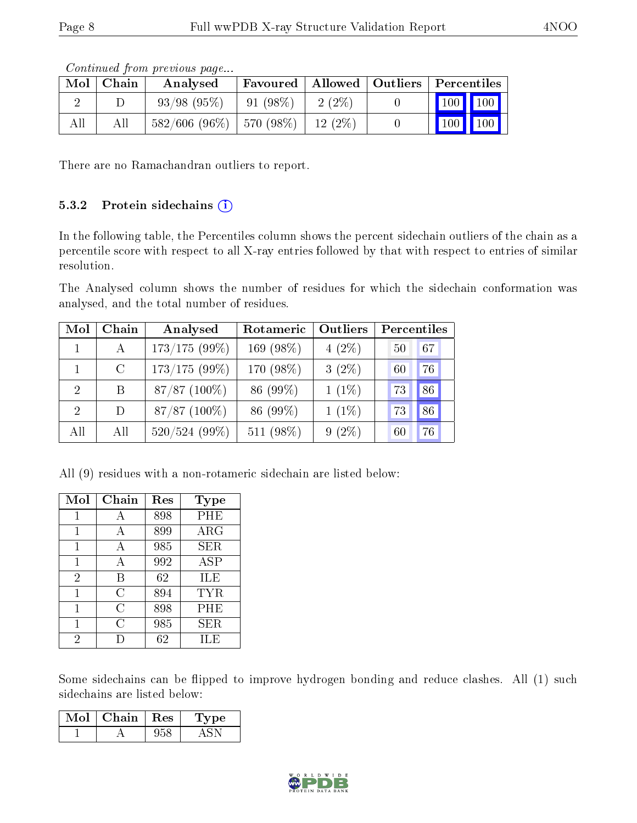| Contractor from brockbase bage |               |                               |                                                                   |           |  |                                 |  |
|--------------------------------|---------------|-------------------------------|-------------------------------------------------------------------|-----------|--|---------------------------------|--|
|                                | $Mol$   Chain | Analysed                      | $\mid$ Favoured $\mid$ Allowed $\mid$ Outliers $\mid$ Percentiles |           |  |                                 |  |
|                                |               | $93/98$ $(95\%)$              | $ 91(98\%)$                                                       | $2(2\%)$  |  | 100 100                         |  |
| All                            | All           | $582/606$ (96\%)   570 (98\%) |                                                                   | 12 $(2%)$ |  | $\vert$ 100 $\vert$ 100 $\vert$ |  |

Continued from previous page...

There are no Ramachandran outliers to report.

#### 5.3.2 Protein sidechains  $(i)$

In the following table, the Percentiles column shows the percent sidechain outliers of the chain as a percentile score with respect to all X-ray entries followed by that with respect to entries of similar resolution.

The Analysed column shows the number of residues for which the sidechain conformation was analysed, and the total number of residues.

| Mol            | Chain         | Analysed        | Rotameric | Outliers | Percentiles |
|----------------|---------------|-----------------|-----------|----------|-------------|
|                | A             | $173/175(99\%)$ | 169 (98%) | $4(2\%)$ | 67<br>50    |
|                | $\mathcal{C}$ | $173/175(99\%)$ | 170 (98%) | $3(2\%)$ | 76<br>60    |
| $\overline{2}$ | B             | 87/87 (100%)    | 86 (99%)  | $1(1\%)$ | 86<br>73    |
| $\overline{2}$ | D             | $87/87$ (100%)  | 86 (99%)  | $1(1\%)$ | 86<br>73    |
| All            | All           | $520/524(99\%)$ | 511 (98%) | $9(2\%)$ | 76<br>60    |

All (9) residues with a non-rotameric sidechain are listed below:

| Mol            | Chain | Res | <b>Type</b> |
|----------------|-------|-----|-------------|
| 1              | A     | 898 | PHE         |
| 1              | А     | 899 | ${\rm ARG}$ |
| 1              | А     | 985 | <b>SER</b>  |
| 1              | А     | 992 | ASP         |
| $\overline{2}$ | В     | 62  | ILE         |
| 1              | С     | 894 | TYR         |
| 1              | С     | 898 | PHE         |
| 1              | C     | 985 | <b>SER</b>  |
| 2              |       | 62  | ILE         |

Some sidechains can be flipped to improve hydrogen bonding and reduce clashes. All (1) such sidechains are listed below:

| Mol | Chain | $\pm$ Res $^+$ | vpe<br>I. |
|-----|-------|----------------|-----------|
|     |       |                |           |

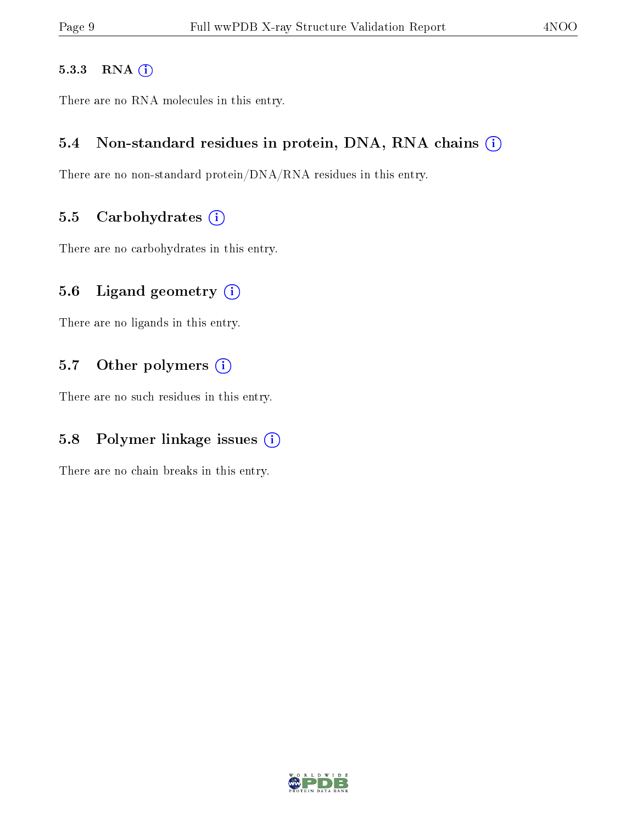#### 5.3.3 RNA [O](https://www.wwpdb.org/validation/2017/XrayValidationReportHelp#rna)i

There are no RNA molecules in this entry.

### 5.4 Non-standard residues in protein, DNA, RNA chains (i)

There are no non-standard protein/DNA/RNA residues in this entry.

### 5.5 Carbohydrates  $(i)$

There are no carbohydrates in this entry.

### 5.6 Ligand geometry  $(i)$

There are no ligands in this entry.

### 5.7 [O](https://www.wwpdb.org/validation/2017/XrayValidationReportHelp#nonstandard_residues_and_ligands)ther polymers (i)

There are no such residues in this entry.

## 5.8 Polymer linkage issues  $(i)$

There are no chain breaks in this entry.

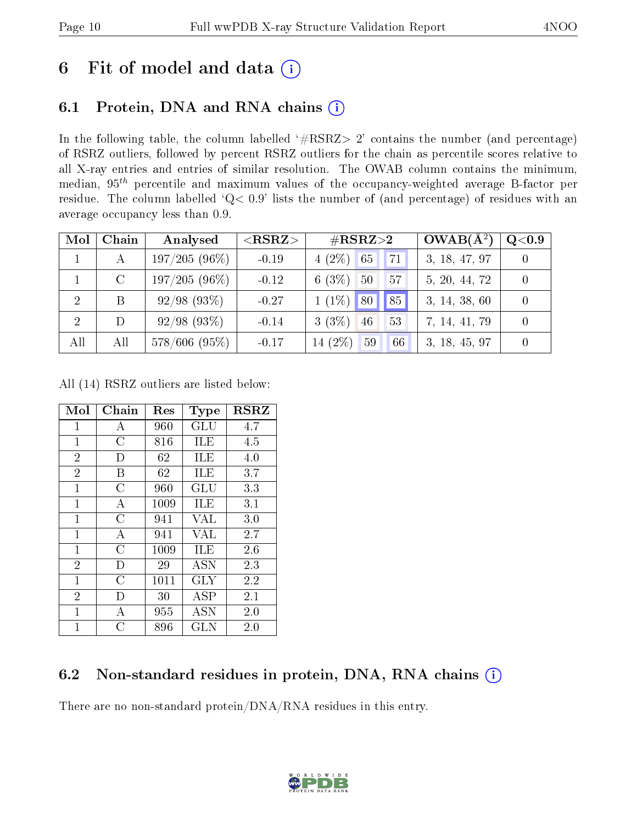# 6 Fit of model and data  $(i)$

# 6.1 Protein, DNA and RNA chains  $(i)$

In the following table, the column labelled  $#RSRZ> 2'$  contains the number (and percentage) of RSRZ outliers, followed by percent RSRZ outliers for the chain as percentile scores relative to all X-ray entries and entries of similar resolution. The OWAB column contains the minimum, median,  $95<sup>th</sup>$  percentile and maximum values of the occupancy-weighted average B-factor per residue. The column labelled ' $Q< 0.9$ ' lists the number of (and percentage) of residues with an average occupancy less than 0.9.

| Mol            | Chain   | Analysed        | ${ <\hspace{-1.5pt}{\mathrm{RSRZ}} \hspace{-1.5pt}>}$ | $\#\text{RSRZ}{>}2$            | $OWAB(A^2)$   | Q <sub>0.9</sub> |
|----------------|---------|-----------------|-------------------------------------------------------|--------------------------------|---------------|------------------|
|                | А       | $197/205(96\%)$ | $-0.19$                                               | $4(2\%)$<br>65<br>71           | 3, 18, 47, 97 |                  |
|                | $\rm C$ | $197/205(96\%)$ | $-0.12$                                               | 6 $(3%)$<br>50<br>57           | 5, 20, 44, 72 |                  |
| $\overline{2}$ |         | $92/98$ (93\%)  | $-0.27$                                               | $1(1\%)$ 80<br>85 <sup>°</sup> | 3, 14, 38, 60 |                  |
| 2              |         | $92/98$ (93\%)  | $-0.14$                                               | $3(3\%)$<br>46<br>53           | 7, 14, 41, 79 |                  |
| All            | All     | $578/606$ (95%) | $-0.17$                                               | 14 (2%)<br>59<br>66            | 3, 18, 45, 97 |                  |

All (14) RSRZ outliers are listed below:

| Mol            | Chain          | Res  | Type                 | <b>RSRZ</b> |
|----------------|----------------|------|----------------------|-------------|
| 1              | А              | 960  | $\operatorname{GLU}$ | 4.7         |
| $\mathbf{1}$   | $\overline{C}$ | 816  | ILE                  | 4.5         |
| $\overline{2}$ | D              | 62   | ILE                  | 4.0         |
| $\overline{2}$ | B              | 62   | ILE                  | 3.7         |
| $\overline{1}$ | $\overline{C}$ | 960  | GLU                  | 3.3         |
| $\mathbf 1$    | A              | 1009 | ILE                  | 3.1         |
| $\mathbf{1}$   | C              | 941  | VAL                  | 3.0         |
| $\overline{1}$ | A              | 941  | VAL                  | 2.7         |
| $\mathbf{1}$   | $\overline{C}$ | 1009 | ILE                  | 2.6         |
| $\overline{2}$ | D              | 29   | <b>ASN</b>           | 2.3         |
| $\mathbf{1}$   | $\overline{C}$ | 1011 | GLY                  | 2.2         |
| $\overline{2}$ | D              | 30   | ĀSP                  | 2.1         |
| $\overline{1}$ | А              | 955  | ASN                  | 2.0         |
| $\overline{1}$ | C              | 896  | $_{\rm GLN}$         | 2.0         |

## 6.2 Non-standard residues in protein, DNA, RNA chains (i)

There are no non-standard protein/DNA/RNA residues in this entry.